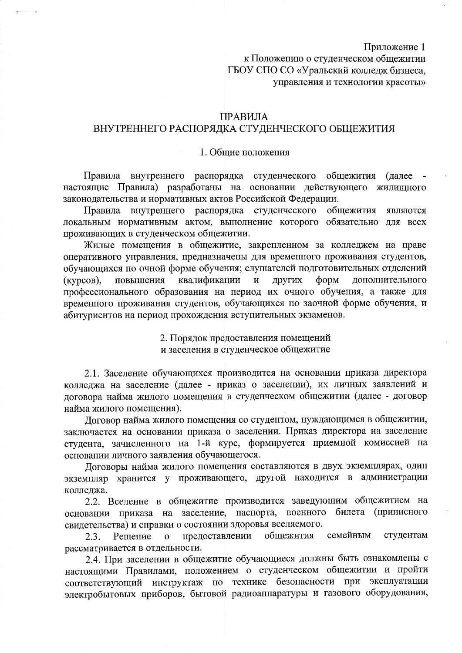Приложение 1

к Положению о студенческом общежитии ГБОУ СПО СО «Уральский колледж бизнеса, управления и технологии красоты»

## **ПРАВИЛА**

# ВНУТРЕННЕГО РАСПОРЯДКА СТУДЕНЧЕСКОГО ОБЩЕЖИТИЯ

#### 1. Общие положения

Правила внутреннего распорядка студенческого общежития (далее настоящие Правила) разработаны на основании действующего жилищного законодательства и нормативных актов Российской Федерации.

Правила внутреннего распорядка студенческого общежития являются локальным нормативным актом, выполнение которого обязательно для всех проживающих в студенческом общежитии.

Жилые помещения в общежитие, закрепленном за колледжем на праве оперативного управления, предназначены для временного проживания студентов, обучающихся по очной форме обучения; слушателей подготовительных отделений квалификации  $\overline{\mathbf{M}}$ других форм дополнительного  $(KypcOB)$ , повышения профессионального образования на период их очного обучения, а также для временного проживания студентов, обучающихся по заочной форме обучения, и абитуриентов на период прохождения вступительных экзаменов.

> 2. Порядок предоставления помещений и заселения в студенческое общежитие

2.1. Заселение обучающихся производится на основании приказа директора колледжа на заселение (далее - приказ о заселении), их личных заявлений и договора найма жилого помещения в студенческом общежитии (далее - договор найма жилого помещения).

Договор найма жилого помещения со студентом, нуждающимся в общежитии, заключается на основании приказа о заселении. Приказ директора на заселение студента, зачисленного на 1-й курс, формируется приемной комиссией на основании личного заявления обучающегося.

Договоры найма жилого помещения составляются в двух экземплярах, один экземпляр хранится у проживающего, другой находится в администрации колледжа.

2.2. Вселение в общежитие производится заведующим общежитием на основании приказа на заселение, паспорта, военного билета (приписного свидетельства) и справки о состоянии здоровья вселяемого.

общежития семейным студентам предоставлении  $2.3.$ Решение  $\mathbf{o}$ рассматривается в отдельности.

2.4. При заселении в общежитие обучающиеся должны быть ознакомлены с настоящими Правилами, положением о студенческом общежитии и пройти соответствующий инструктаж по технике безопасности при эксплуатации электробытовых приборов, бытовой радиоаппаратуры и газового оборудования,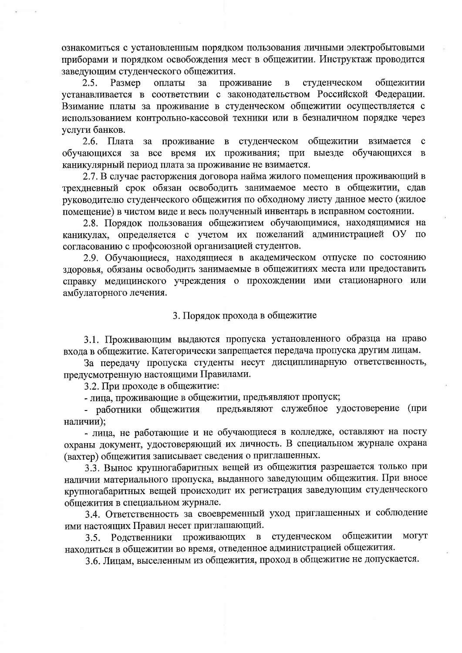ознакомиться с установленным порядком пользования личными электробытовыми приборами и порядком освобождения мест в общежитии. Инструктаж проводится заведующим студенческого общежития.

 $2.5.$ Размер оплаты  $3a$ проживание  $\mathbf{B}$ студенческом обшежитии устанавливается в соответствии с законодательством Российской Федерации. Взимание платы за проживание в студенческом общежитии осуществляется с использованием контрольно-кассовой техники или в безналичном порядке через услуги банков.

за проживание в студенческом общежитии взимается  $2.6.$  Плата  $\mathbf{c}$ обучающихся за все время их проживания; при выезде обучающихся в каникулярный период плата за проживание не взимается.

2.7. В случае расторжения договора найма жилого помещения проживающий в трехдневный срок обязан освободить занимаемое место в общежитии, сдав руководителю студенческого общежития по обходному листу данное место (жилое помещение) в чистом виде и весь полученный инвентарь в исправном состоянии.

2.8. Порядок пользования общежитием обучающимися, находящимися на каникулах, определяется с учетом их пожеланий администрацией ОУ по согласованию с профсоюзной организацией студентов.

2.9. Обучающиеся, находящиеся в академическом отпуске по состоянию здоровья, обязаны освободить занимаемые в общежитиях места или предоставить справку медицинского учреждения о прохождении ими стационарного или амбулаторного лечения.

#### 3. Порядок прохода в общежитие

3.1. Проживающим выдаются пропуска установленного образца на право входа в общежитие. Категорически запрещается передача пропуска другим лицам.

За передачу пропуска студенты несут дисциплинарную ответственность, предусмотренную настоящими Правилами.

3.2. При проходе в общежитие:

- лица, проживающие в общежитии, предъявляют пропуск;

предъявляют служебное удостоверение (при - работники общежития наличии);

- лица, не работающие и не обучающиеся в колледже, оставляют на посту охраны документ, удостоверяющий их личность. В специальном журнале охрана (вахтер) общежития записывает сведения о приглашенных.

3.3. Вынос крупногабаритных вещей из общежития разрешается только при наличии материального пропуска, выданного заведующим общежития. При вносе крупногабаритных вещей происходит их регистрация заведующим студенческого общежития в специальном журнале.

3.4. Ответственность за своевременный уход приглашенных и соблюдение ими настоящих Правил несет приглашающий.

3.5. Родственники проживающих студенческом общежитии могут  $\mathbf{B}$ находиться в общежитии во время, отведенное администрацией общежития.

3.6. Лицам, выселенным из общежития, проход в общежитие не допускается.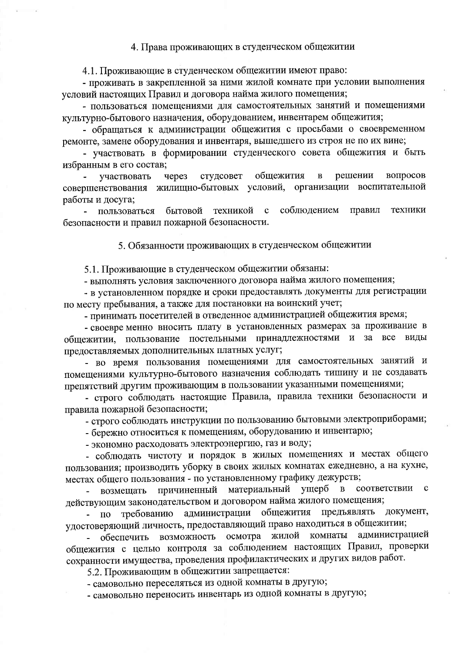# 4. Права проживающих в студенческом общежитии

4.1. Проживающие в студенческом общежитии имеют право:

- проживать в закрепленной за ними жилой комнате при условии выполнения условий настоящих Правил и договора найма жилого помещения;

- пользоваться помещениями для самостоятельных занятий и помещениями культурно-бытового назначения, оборудованием, инвентарем общежития;

- обращаться к администрации общежития с просьбами о своевременном ремонте, замене оборудования и инвентаря, вышедшего из строя не по их вине;

- участвовать в формировании студенческого совета общежития и быть избранным в его состав;

общежития решении вопросов через студсовет  $\overline{\mathbf{B}}$ участвовать совершенствования жилищно-бытовых условий, организации воспитательной работы и досуга;

соблюдением правил пользоваться бытовой техникой  $\mathbf c$ техники безопасности и правил пожарной безопасности.

5. Обязанности проживающих в студенческом общежитии

5.1. Проживающие в студенческом общежитии обязаны:

- выполнять условия заключенного договора найма жилого помещения;

- в установленном порядке и сроки предоставлять документы для регистрации по месту пребывания, а также для постановки на воинский учет;

- принимать посетителей в отведенное администрацией общежития время;

- своевре менно вносить плату в установленных размерах за проживание в общежитии, пользование постельными принадлежностями и за все ВИДЫ предоставляемых дополнительных платных услуг;

- во время пользования помещениями для самостоятельных занятий и помещениями культурно-бытового назначения соблюдать тишину и не создавать препятствий другим проживающим в пользовании указанными помещениями;

- строго соблюдать настоящие Правила, правила техники безопасности и правила пожарной безопасности;

- строго соблюдать инструкции по пользованию бытовыми электроприборами;

- бережно относиться к помещениям, оборудованию и инвентарю;

- экономно расходовать электроэнергию, газ и воду;

- соблюдать чистоту и порядок в жилых помещениях и местах общего пользования; производить уборку в своих жилых комнатах ежедневно, а на кухне, местах общего пользования - по установленному графику дежурств;

причиненный материальный ущерб  $\mathbf{B}$ соответствии  $\mathbf c$ возмещать действующим законодательством и договором найма жилого помещения;

администрации общежития предъявлять документ, требованию  $\Pi$ <sup>O</sup> удостоверяющий личность, предоставляющий право находиться в общежитии;

возможность осмотра жилой комнаты администрацией  $\sim$ обеспечить общежития с целью контроля за соблюдением настоящих Правил, проверки сохранности имущества, проведения профилактических и других видов работ.

5.2. Проживающим в общежитии запрещается:

- самовольно переселяться из одной комнаты в другую;

- самовольно переносить инвентарь из одной комнаты в другую;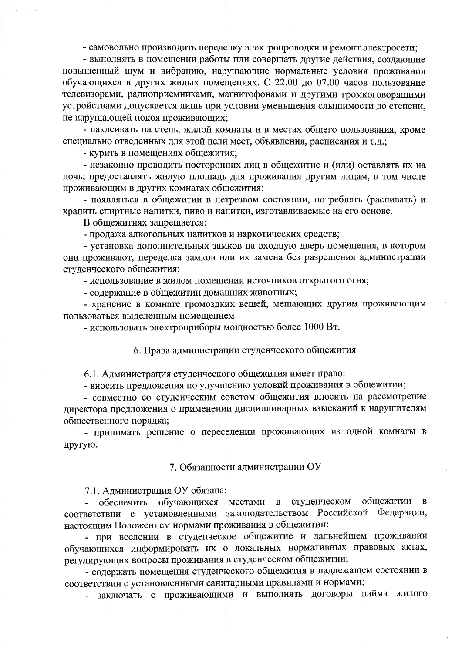- самовольно производить переделку электропроводки и ремонт электросети;

- выполнять в помещении работы или совершать другие действия, создающие повышенный шум и вибрацию, нарушающие нормальные условия проживания обучающихся в других жилых помещениях. С 22.00 до 07.00 часов пользование телевизорами, радиоприемниками, магнитофонами и другими громкоговорящими устройствами допускается лишь при условии уменьшения слышимости до степени. не нарушающей покоя проживающих;

- наклеивать на стены жилой комнаты и в местах общего пользования, кроме специально отведенных для этой цели мест, объявления, расписания и т.д.;

- курить в помещениях общежития;

- незаконно проводить посторонних лиц в общежитие и (или) оставлять их на ночь; предоставлять жилую площадь для проживания другим лицам, в том числе проживающим в других комнатах общежития;

- появляться в общежитии в нетрезвом состоянии, потреблять (распивать) и хранить спиртные напитки, пиво и напитки, изготавливаемые на его основе.

В общежитиях запрещается:

- продажа алкогольных напитков и наркотических средств;

- установка дополнительных замков на входную дверь помещения, в котором они проживают, переделка замков или их замена без разрешения администрации студенческого общежития;

- использование в жилом помещении источников открытого огня;

- содержание в общежитии домашних животных;

- хранение в комнате громоздких вещей, мешающих другим проживающим пользоваться выделенным помещением

- использовать электроприборы мощностью более 1000 Вт.

6. Права администрации студенческого общежития

6.1. Администрация студенческого общежития имеет право:

- вносить предложения по улучшению условий проживания в общежитии;

- совместно со студенческим советом общежития вносить на рассмотрение директора предложения о применении дисциплинарных взысканий к нарушителям общественного порядка;

- принимать решение о переселении проживающих из одной комнаты в другую.

#### 7. Обязанности администрации ОУ

7.1. Администрация ОУ обязана:

общежитии в студенческом обеспечить обучающихся местами  $\mathbf{B}$ соответствии с установленными законодательством Российской Федерации, настоящим Положением нормами проживания в общежитии;

- при вселении в студенческое общежитие и дальнейшем проживании обучающихся информировать их о локальных нормативных правовых актах, регулирующих вопросы проживания в студенческом общежитии;

- содержать помещения студенческого общежития в надлежащем состоянии в соответствии с установленными санитарными правилами и нормами;

- заключать с проживающими и выполнять договоры найма жилого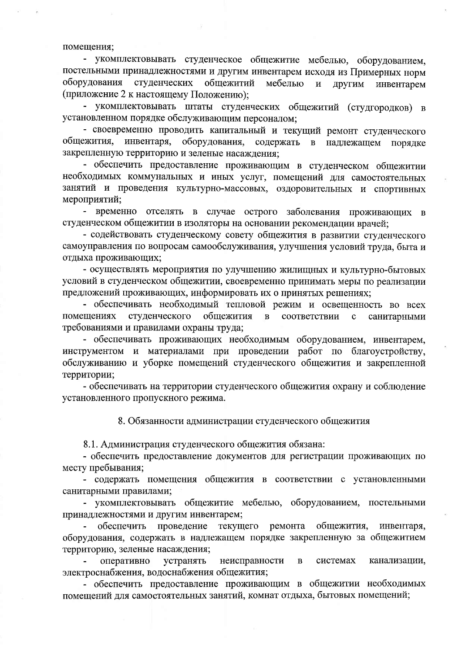помещения;

- укомплектовывать студенческое общежитие мебелью, оборудованием, постельными принадлежностями и другим инвентарем исходя из Примерных норм оборудования студенческих общежитий мебелью и ДРУГИМ инвентарем (приложение 2 к настоящему Положению);

- укомплектовывать штаты студенческих общежитий (студгородков) в установленном порядке обслуживающим персоналом;

- своевременно проводить капитальный и текущий ремонт студенческого общежития, инвентаря, оборудования, содержать  $\mathbf{B}$ надлежащем порядке закрепленную территорию и зеленые насаждения;

- обеспечить предоставление проживающим в студенческом общежитии необходимых коммунальных и иных услуг, помещений для самостоятельных занятий и проведения культурно-массовых, оздоровительных и спортивных мероприятий;

- временно отселять в случае острого заболевания проживающих в студенческом общежитии в изоляторы на основании рекомендации врачей;

- содействовать студенческому совету общежития в развитии студенческого самоуправления по вопросам самообслуживания, улучшения условий труда, быта и отдыха проживающих;

- осуществлять мероприятия по улучшению жилищных и культурно-бытовых условий в студенческом общежитии, своевременно принимать меры по реализации предложений проживающих, информировать их о принятых решениях;

- обеспечивать необходимый тепловой режим и освещенность во всех студенческого общежития соответствии санитарными помещениях  $\, {\bf B}$  $\mathbf{c}$ требованиями и правилами охраны труда;

- обеспечивать проживающих необходимым оборудованием, инвентарем, инструментом и материалами при проведении работ по благоустройству, обслуживанию и уборке помещений студенческого общежития и закрепленной территории;

- обеспечивать на территории студенческого общежития охрану и соблюдение установленного пропускного режима.

8. Обязанности администрации студенческого общежития

8.1. Администрация студенческого общежития обязана:

- обеспечить предоставление документов для регистрации проживающих по месту пребывания;

- содержать помещения общежития в соответствии с установленными санитарными правилами;

- укомплектовывать общежитие мебелью, оборудованием, постельными принадлежностями и другим инвентарем;

текущего обеспечить проведение ремонта общежития, инвентаря, оборудования, содержать в надлежащем порядке закрепленную за общежитием территорию, зеленые насаждения;

оперативно устранять неисправности  $\, {\bf B}$ системах канализации, электроснабжения, водоснабжения общежития;

- обеспечить предоставление проживающим в общежитии необходимых помещений для самостоятельных занятий, комнат отдыха, бытовых помещений;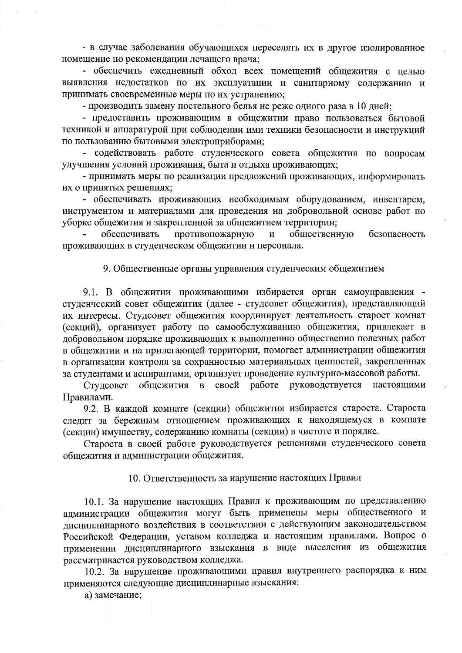- в случае заболевания обучающихся переселять их в другое изолированное помещение по рекомендации лечащего врача;

- обеспечить ежедневный обход всех помещений общежития с целью выявления недостатков по их эксплуатации и санитарному содержанию и принимать своевременные меры по их устранению;

- производить замену постельного белья не реже одного раза в 10 дней;

- предоставить проживающим в общежитии право пользоваться бытовой техникой и аппаратурой при соблюдении ими техники безопасности и инструкций по пользованию бытовыми электроприборами;

- содействовать работе студенческого совета общежития по вопросам улучшения условий проживания, быта и отдыха проживающих;

- принимать меры по реализации предложений проживающих, информировать их о принятых решениях;

- обеспечивать проживающих необходимым оборудованием, инвентарем, инструментом и материалами для проведения на добровольной основе работ по уборке общежития и закрепленной за общежитием территории;

обеспечивать противопожарную общественную  $\mathbf{M}$ безопасность проживающих в студенческом общежитии и персонала.

## 9. Общественные органы управления студенческим общежитием

9.1. В общежитии проживающими избирается орган самоуправления студенческий совет общежития (далее - студсовет общежития), представляющий их интересы. Студсовет общежития координирует деятельность старост комнат (секций), организует работу по самообслуживанию общежития, привлекает в добровольном порядке проживающих к выполнению общественно полезных работ в общежитии и на прилегающей территории, помогает администрации общежития в организации контроля за сохранностью материальных ценностей, закрепленных за студентами и аспирантами, организует проведение культурно-массовой работы.

своей работе Студсовет общежития руководствуется настоящими  $\, {\bf B}$ Правилами.

9.2. В каждой комнате (секции) общежития избирается староста. Староста следит за бережным отношением проживающих к находящемуся в комнате (секции) имуществу, содержанию комнаты (секции) в чистоте и порядке.

Староста в своей работе руководствуется решениями студенческого совета общежития и администрации общежития.

10. Ответственность за нарушение настоящих Правил

10.1. За нарушение настоящих Правил к проживающим по представлению администрации общежития могут быть применены меры общественного и дисциплинарного воздействия в соответствии с действующим законодательством Российской Федерации, уставом колледжа и настоящим правилами. Вопрос о применении дисциплинарного взыскания в виде выселения из общежития рассматривается руководством колледжа.

10.2. За нарушение проживающими правил внутреннего распорядка к ним применяются следующие дисциплинарные взыскания:

а) замечание;